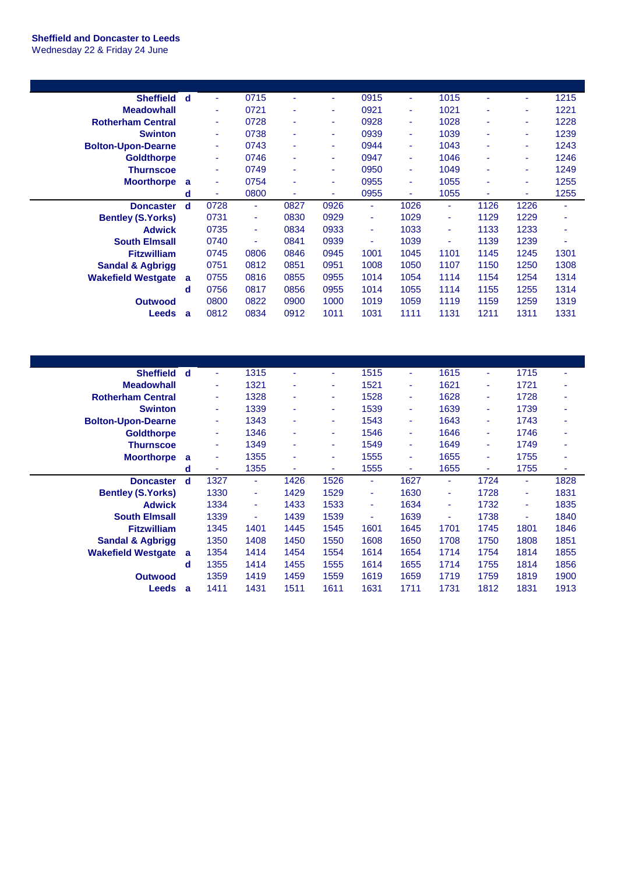## **Sheffield and Doncaster to Leeds** Wednesday 22 & Friday 24 June

| <b>Sheffield</b>            | d | ٠    | 0715 | ٠    | ÷    | 0915 | ٠              | 1015 | ٠    | ٠    | 1215                     |
|-----------------------------|---|------|------|------|------|------|----------------|------|------|------|--------------------------|
| <b>Meadowhall</b>           |   | ٠    | 0721 | ٠    | ٠    | 0921 | ٠              | 1021 | ۰    | ٠    | 1221                     |
| <b>Rotherham Central</b>    |   | ٠    | 0728 | ٠    | ٠    | 0928 | ٠              | 1028 | ۰    | ۰    | 1228                     |
| <b>Swinton</b>              |   | ٠    | 0738 | ۰    | ٠    | 0939 | $\blacksquare$ | 1039 | ۰    | ٠    | 1239                     |
| <b>Bolton-Upon-Dearne</b>   |   | ٠    | 0743 | ٠    | ٠    | 0944 | ٠              | 1043 | ۰    | ٠    | 1243                     |
| <b>Goldthorpe</b>           |   | ٠    | 0746 |      | ٠    | 0947 | ٠              | 1046 |      | ٠    | 1246                     |
| Thurnscoe                   |   | ٠    | 0749 |      | ٠    | 0950 | $\blacksquare$ | 1049 | ۰    | ٠    | 1249                     |
| <b>Moorthorpe</b>           | a | ٠    | 0754 |      | ٠    | 0955 | $\blacksquare$ | 1055 |      | ۰    | 1255                     |
|                             | d | ٠    | 0800 | ٠    | ٠    | 0955 | ٠              | 1055 | ۰    | ٠    | 1255                     |
|                             |   |      |      |      |      |      |                |      |      |      |                          |
| <b>Doncaster</b>            | d | 0728 | ٠    | 0827 | 0926 | ٠    | 1026           | ٠    | 1126 | 1226 | $\overline{\phantom{a}}$ |
| <b>Bentley (S.Yorks)</b>    |   | 0731 | ٠    | 0830 | 0929 | ٠    | 1029           | ٠    | 1129 | 1229 | ٠                        |
| <b>Adwick</b>               |   | 0735 | ٠    | 0834 | 0933 | ٠    | 1033           | ٠    | 1133 | 1233 | ٠                        |
| <b>South Elmsall</b>        |   | 0740 | ٠    | 0841 | 0939 | ۰    | 1039           | ٠    | 1139 | 1239 | ٠                        |
| <b>Fitzwilliam</b>          |   | 0745 | 0806 | 0846 | 0945 | 1001 | 1045           | 1101 | 1145 | 1245 | 1301                     |
| <b>Sandal &amp; Agbrigg</b> |   | 0751 | 0812 | 0851 | 0951 | 1008 | 1050           | 1107 | 1150 | 1250 | 1308                     |
| <b>Wakefield Westgate</b>   | a | 0755 | 0816 | 0855 | 0955 | 1014 | 1054           | 1114 | 1154 | 1254 | 1314                     |
|                             | d | 0756 | 0817 | 0856 | 0955 | 1014 | 1055           | 1114 | 1155 | 1255 | 1314                     |
| <b>Outwood</b>              |   | 0800 | 0822 | 0900 | 1000 | 1019 | 1059           | 1119 | 1159 | 1259 | 1319                     |

| <b>Sheffield</b>            | d | ٠              | 1315 |      | ٠    | 1515 | ٠    | 1615 | ٠    | 1715 | ٠    |
|-----------------------------|---|----------------|------|------|------|------|------|------|------|------|------|
| <b>Meadowhall</b>           |   | ٠              | 1321 |      | ٠    | 1521 | ٠    | 1621 | ۰    | 1721 | ٠    |
| <b>Rotherham Central</b>    |   | ٠              | 1328 |      | ۰    | 1528 | ÷    | 1628 | ÷    | 1728 | ٠    |
| <b>Swinton</b>              |   | ٠              | 1339 |      | ۰    | 1539 | ٠    | 1639 |      | 1739 | ۰    |
| <b>Bolton-Upon-Dearne</b>   |   | ä,             | 1343 |      | ٠    | 1543 | ÷    | 1643 | ÷    | 1743 | ٠    |
| <b>Goldthorpe</b>           |   | $\blacksquare$ | 1346 |      | ٠    | 1546 | ٠    | 1646 | ٠    | 1746 | ٠    |
| <b>Thurnscoe</b>            |   | ٠              | 1349 |      | ٠    | 1549 | ٠    | 1649 | ÷    | 1749 | ٠    |
| <b>Moorthorpe</b>           | a | ٠              | 1355 |      | ٠    | 1555 | ٠    | 1655 | ٠    | 1755 | ٠    |
|                             | d | ٠              | 1355 |      | ٠    | 1555 | ٠    | 1655 |      | 1755 | ٠    |
| <b>Doncaster</b>            | d | 1327           | ٠    | 1426 | 1526 | ٠    | 1627 | ٠    | 1724 | ٠    | 1828 |
| <b>Bentley (S.Yorks)</b>    |   | 1330           | ٠    | 1429 | 1529 | ٠    | 1630 | ٠    | 1728 | ۰    | 1831 |
| <b>Adwick</b>               |   | 1334           | ٠    | 1433 | 1533 | ٠    | 1634 | ٠    | 1732 | ٠    | 1835 |
| <b>South Elmsall</b>        |   | 1339           | ٠    | 1439 | 1539 | ٠    | 1639 | ٠    | 1738 | ٠    | 1840 |
| <b>Fitzwilliam</b>          |   | 1345           | 1401 | 1445 | 1545 | 1601 | 1645 | 1701 | 1745 | 1801 | 1846 |
| <b>Sandal &amp; Agbrigg</b> |   | 1350           | 1408 | 1450 | 1550 | 1608 | 1650 | 1708 | 1750 | 1808 | 1851 |
| <b>Wakefield Westgate</b>   | a | 1354           | 1414 | 1454 | 1554 | 1614 | 1654 | 1714 | 1754 | 1814 | 1855 |
|                             | d | 1355           | 1414 | 1455 | 1555 | 1614 | 1655 | 1714 | 1755 | 1814 | 1856 |
| <b>Outwood</b>              |   | 1359           | 1419 | 1459 | 1559 | 1619 | 1659 | 1719 | 1759 | 1819 | 1900 |
| Leeds                       | a | 1411           | 1431 | 1511 | 1611 | 1631 | 1711 | 1731 | 1812 | 1831 | 1913 |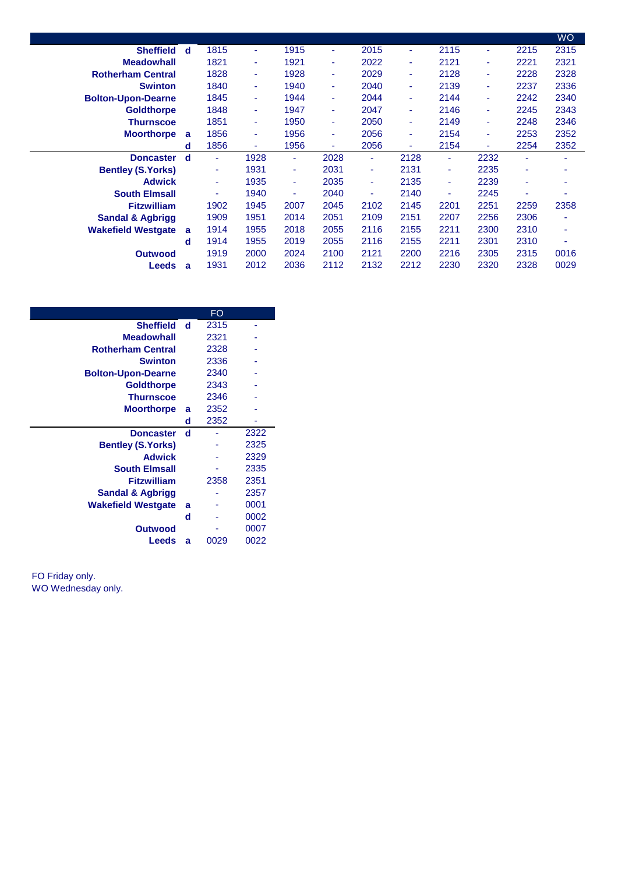|                             |   |      |        |        |      |      |                |      |      |                          | <b>WO</b> |
|-----------------------------|---|------|--------|--------|------|------|----------------|------|------|--------------------------|-----------|
| <b>Sheffield</b>            | d | 1815 | ٠      | 1915   | ÷    | 2015 | ٠              | 2115 | ٠    | 2215                     | 2315      |
| <b>Meadowhall</b>           |   | 1821 | ٠      | 1921   | ٠    | 2022 | ٠              | 2121 | ÷    | 2221                     | 2321      |
| <b>Rotherham Central</b>    |   | 1828 | ٠      | 1928   | ٠    | 2029 | ٠              | 2128 | ÷    | 2228                     | 2328      |
| <b>Swinton</b>              |   | 1840 | ٠      | 1940   | ٠    | 2040 | ٠              | 2139 | ٠    | 2237                     | 2336      |
| <b>Bolton-Upon-Dearne</b>   |   | 1845 | ٠      | 1944   | ٠    | 2044 | ٠              | 2144 | ٠    | 2242                     | 2340      |
| <b>Goldthorpe</b>           |   | 1848 | ٠      | 1947   | ٠    | 2047 | $\blacksquare$ | 2146 | ٠    | 2245                     | 2343      |
| <b>Thurnscoe</b>            |   | 1851 | $\sim$ | 1950   | ÷    | 2050 | ٠              | 2149 | ٠    | 2248                     | 2346      |
| <b>Moorthorpe</b>           | a | 1856 | ٠      | 1956   | ٠    | 2056 | ٠              | 2154 | ٠    | 2253                     | 2352      |
|                             | d | 1856 | ٠      | 1956   | ٠    | 2056 | ٠              | 2154 | ٠    | 2254                     | 2352      |
| <b>Doncaster</b>            | d | ٠    | 1928   | $\sim$ | 2028 | ٠    | 2128           | ٠    | 2232 | ٠                        | ٠         |
| <b>Bentley (S.Yorks)</b>    |   | ٠    | 1931   | ۰      | 2031 | ٠    | 2131           | ٠    | 2235 | ٠                        | ۰         |
| <b>Adwick</b>               |   | ٠    | 1935   | ٠      | 2035 | ٠    | 2135           | ٠    | 2239 | $\sim$                   | ۰         |
| <b>South Elmsall</b>        |   | ٠    | 1940   |        | 2040 | ٠    | 2140           | ٠    | 2245 | $\overline{\phantom{a}}$ |           |
| <b>Fitzwilliam</b>          |   | 1902 | 1945   | 2007   | 2045 | 2102 | 2145           | 2201 | 2251 | 2259                     | 2358      |
| <b>Sandal &amp; Agbrigg</b> |   | 1909 | 1951   | 2014   | 2051 | 2109 | 2151           | 2207 | 2256 | 2306                     | ٠         |
| <b>Wakefield Westgate</b>   | a | 1914 | 1955   | 2018   | 2055 | 2116 | 2155           | 2211 | 2300 | 2310                     | ۰         |
|                             | d | 1914 | 1955   | 2019   | 2055 | 2116 | 2155           | 2211 | 2301 | 2310                     |           |
| <b>Outwood</b>              |   | 1919 | 2000   | 2024   | 2100 | 2121 | 2200           | 2216 | 2305 | 2315                     | 0016      |
| <b>Leeds</b>                | a | 1931 | 2012   | 2036   | 2112 | 2132 | 2212           | 2230 | 2320 | 2328                     | 0029      |
|                             |   |      |        |        |      |      |                |      |      |                          |           |

|                             |   | FO   |      |
|-----------------------------|---|------|------|
| <b>Sheffield</b>            | d | 2315 |      |
| <b>Meadowhall</b>           |   | 2321 |      |
| <b>Rotherham Central</b>    |   | 2328 |      |
| <b>Swinton</b>              |   | 2336 |      |
| <b>Bolton-Upon-Dearne</b>   |   | 2340 |      |
| <b>Goldthorpe</b>           |   | 2343 |      |
| <b>Thurnscoe</b>            |   | 2346 |      |
| <b>Moorthorpe</b>           | a | 2352 |      |
|                             | d | 2352 |      |
| <b>Doncaster</b>            | d |      | 2322 |
|                             |   |      |      |
| <b>Bentley (S.Yorks)</b>    |   |      | 2325 |
| <b>Adwick</b>               |   |      | 2329 |
| <b>South Elmsall</b>        |   |      | 2335 |
| <b>Fitzwilliam</b>          |   | 2358 | 2351 |
| <b>Sandal &amp; Agbrigg</b> |   |      | 2357 |
| <b>Wakefield Westgate</b>   | a |      | 0001 |
|                             | d |      | 0002 |
| Outwood                     |   |      | 0007 |

FO Friday only. WO Wednesday only.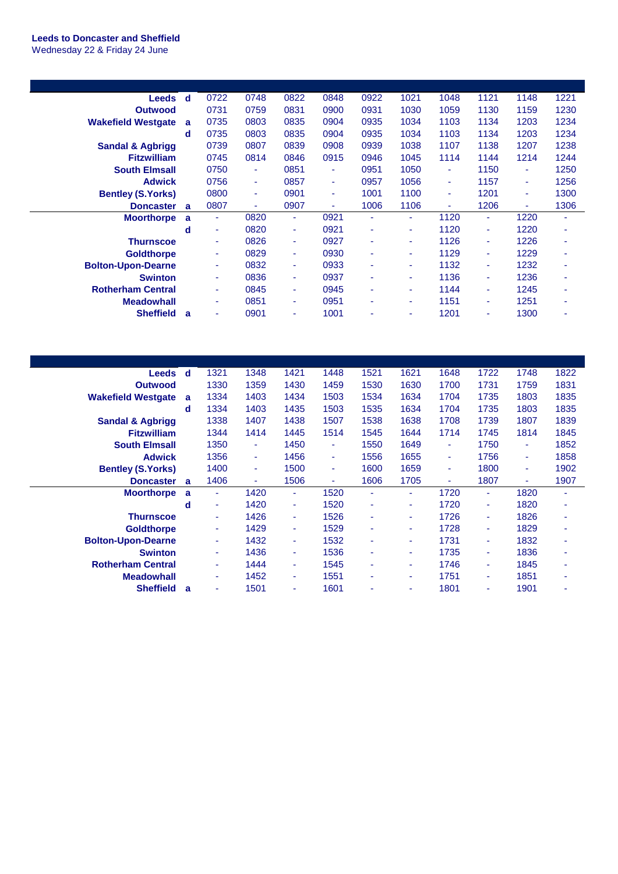## **Leeds to Doncaster and Sheffield** Wednesday 22 & Friday 24 June

| <b>Leeds</b>                | d | 0722 | 0748 | 0822   | 0848 | 0922 | 1021 | 1048 | 1121                     | 1148 | 1221 |
|-----------------------------|---|------|------|--------|------|------|------|------|--------------------------|------|------|
| <b>Outwood</b>              |   | 0731 | 0759 | 0831   | 0900 | 0931 | 1030 | 1059 | 1130                     | 1159 | 1230 |
| <b>Wakefield Westgate</b>   | a | 0735 | 0803 | 0835   | 0904 | 0935 | 1034 | 1103 | 1134                     | 1203 | 1234 |
|                             | d | 0735 | 0803 | 0835   | 0904 | 0935 | 1034 | 1103 | 1134                     | 1203 | 1234 |
| <b>Sandal &amp; Agbrigg</b> |   | 0739 | 0807 | 0839   | 0908 | 0939 | 1038 | 1107 | 1138                     | 1207 | 1238 |
| <b>Fitzwilliam</b>          |   | 0745 | 0814 | 0846   | 0915 | 0946 | 1045 | 1114 | 1144                     | 1214 | 1244 |
| <b>South Elmsall</b>        |   | 0750 | ٠    | 0851   | ٠    | 0951 | 1050 | ٠    | 1150                     | ٠    | 1250 |
| <b>Adwick</b>               |   | 0756 | ٠    | 0857   | ٠    | 0957 | 1056 | ٠    | 1157                     | ٠    | 1256 |
| <b>Bentley (S.Yorks)</b>    |   | 0800 | ٠    | 0901   | ٠    | 1001 | 1100 | ٠    | 1201                     | ٠    | 1300 |
| <b>Doncaster</b>            | a | 0807 | ٠    | 0907   | ٠    | 1006 | 1106 | ٠    | 1206                     | ٠    | 1306 |
| <b>Moorthorpe</b>           |   |      |      |        |      |      |      |      |                          |      |      |
|                             | a | ٠    | 0820 | ٠      | 0921 | ٠    | ٠    | 1120 | ٠                        | 1220 |      |
|                             | d | ٠    | 0820 | ٠      | 0921 | ۰    | ٠    | 1120 | ٠                        | 1220 | ۰    |
| <b>Thurnscoe</b>            |   | ٠    | 0826 | ٠      | 0927 | ۰    | ٠    | 1126 | ٠                        | 1226 | ۰    |
| <b>Goldthorpe</b>           |   | ٠    | 0829 | ٠      | 0930 | ۰    | ٠    | 1129 | $\overline{\phantom{a}}$ | 1229 | ۰    |
| <b>Bolton-Upon-Dearne</b>   |   | ٠    | 0832 | ٠      | 0933 | ۰    | ٠    | 1132 | ٠                        | 1232 | ۰    |
| <b>Swinton</b>              |   | ٠    | 0836 | ٠      | 0937 | ۰    | ٠    | 1136 | ٠                        | 1236 |      |
| <b>Rotherham Central</b>    |   | ٠    | 0845 | $\sim$ | 0945 | ٠    | ÷    | 1144 | $\blacksquare$           | 1245 |      |
| <b>Meadowhall</b>           |   | ٠    | 0851 | ٠      | 0951 | ۰    | ٠    | 1151 | ٠                        | 1251 |      |

| <b>Leeds</b>                | d | 1321 | 1348           | 1421 | 1448 | 1521 | 1621 | 1648 | 1722 | 1748 | 1822 |
|-----------------------------|---|------|----------------|------|------|------|------|------|------|------|------|
| <b>Outwood</b>              |   | 1330 | 1359           | 1430 | 1459 | 1530 | 1630 | 1700 | 1731 | 1759 | 1831 |
| <b>Wakefield Westgate</b>   | a | 1334 | 1403           | 1434 | 1503 | 1534 | 1634 | 1704 | 1735 | 1803 | 1835 |
|                             | d | 1334 | 1403           | 1435 | 1503 | 1535 | 1634 | 1704 | 1735 | 1803 | 1835 |
| <b>Sandal &amp; Agbrigg</b> |   | 1338 | 1407           | 1438 | 1507 | 1538 | 1638 | 1708 | 1739 | 1807 | 1839 |
| <b>Fitzwilliam</b>          |   | 1344 | 1414           | 1445 | 1514 | 1545 | 1644 | 1714 | 1745 | 1814 | 1845 |
| <b>South Elmsall</b>        |   | 1350 | $\blacksquare$ | 1450 | ٠    | 1550 | 1649 | ٠    | 1750 | ٠    | 1852 |
| <b>Adwick</b>               |   | 1356 | $\blacksquare$ | 1456 | ٠    | 1556 | 1655 | ٠    | 1756 | ٠    | 1858 |
| <b>Bentley (S.Yorks)</b>    |   | 1400 | $\blacksquare$ | 1500 | ٠    | 1600 | 1659 | ٠    | 1800 | ٠    | 1902 |
| <b>Doncaster</b>            | a | 1406 | ٠              | 1506 | ٠    | 1606 | 1705 | ٠    | 1807 | ٠    | 1907 |
| <b>Moorthorpe</b>           | a | ٠    | 1420           | ٠    | 1520 | ٠    | ٠    | 1720 | ٠    | 1820 | ٠    |
|                             | d | ٠    | 1420           | ٠    | 1520 | ۰    | ٠    | 1720 | ٠    | 1820 | ۰    |
| <b>Thurnscoe</b>            |   | ٠    | 1426           | ٠    | 1526 | ٠    | ٠    | 1726 | ÷    | 1826 | ۰    |
| <b>Goldthorpe</b>           |   | ٠    | 1429           | ٠    | 1529 | ٠    | ٠    | 1728 | ÷    | 1829 | ۰    |
| <b>Bolton-Upon-Dearne</b>   |   | ٠    | 1432           | ٠    | 1532 | ٠    | ٠    | 1731 | ÷    | 1832 | ۰    |
| <b>Swinton</b>              |   | ٠    | 1436           | ٠    | 1536 | ٠    | ٠    | 1735 | ÷    | 1836 |      |
| <b>Rotherham Central</b>    |   | ٠    | 1444           | ٠    | 1545 | ۰    | ٠    | 1746 | ٠    | 1845 |      |
| <b>Meadowhall</b>           |   | ٠    | 1452           | ۰    | 1551 | ۰    | ٠    | 1751 | ٠    | 1851 | ۰    |
| <b>Sheffield</b>            | a | ٠    | 1501           | ٠    | 1601 |      | ٠    | 1801 | ۰    | 1901 |      |